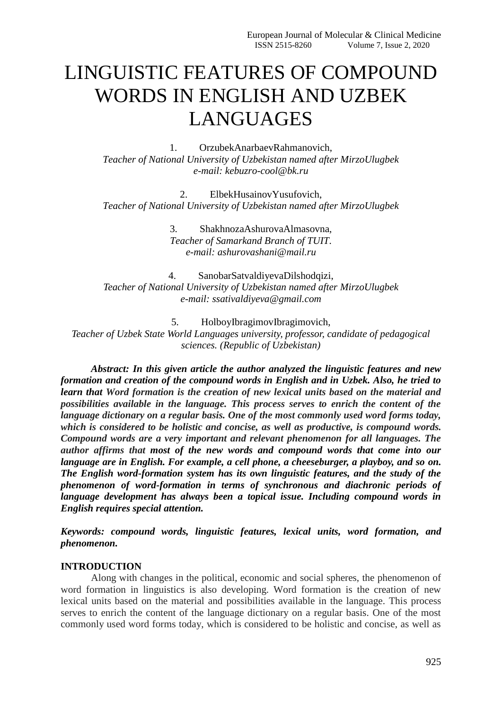# LINGUISTIC FEATURES OF COMPOUND WORDS IN ENGLISH AND UZBEK LANGUAGES

1. OrzubekAnarbaevRahmanovich, *Teacher of National University of Uzbekistan named after MirzoUlugbek e-mail: kebuzro-cool@bk.ru*

2. ElbekHusainovYusufovich, *Teacher of National University of Uzbekistan named after MirzoUlugbek*

> 3. ShakhnozaAshurovaAlmasovna, *Teacher of Samarkand Branch of TUIT. e-mail: ashurovashani@mail.ru*

4. SanobarSatvaldiyevaDilshodqizi, *Teacher of National University of Uzbekistan named after MirzoUlugbek e-mail: ssativaldiyeva@gmail.com*

5. HolboyIbragimovIbragimovich, *Teacher of Uzbek State World Languages university, professor, candidate of pedagogical sciences. (Republic of Uzbekistan)*

*Abstract: In this given article the author analyzed the linguistic features and new formation and creation of the compound words in English and in Uzbek. Also, he tried to learn that Word formation is the creation of new lexical units based on the material and possibilities available in the language. This process serves to enrich the content of the language dictionary on a regular basis. One of the most commonly used word forms today, which is considered to be holistic and concise, as well as productive, is compound words. Compound words are a very important and relevant phenomenon for all languages. The author affirms that most of the new words and compound words that come into our language are in English. For example, a cell phone, a cheeseburger, a playboy, and so on. The English word-formation system has its own linguistic features, and the study of the phenomenon of word-formation in terms of synchronous and diachronic periods of language development has always been a topical issue. Including compound words in English requires special attention.*

*Keywords: compound words, linguistic features, lexical units, word formation, and phenomenon.*

## **INTRODUCTION**

Along with changes in the political, economic and social spheres, the phenomenon of word formation in linguistics is also developing. Word formation is the creation of new lexical units based on the material and possibilities available in the language. This process serves to enrich the content of the language dictionary on a regular basis. One of the most commonly used word forms today, which is considered to be holistic and concise, as well as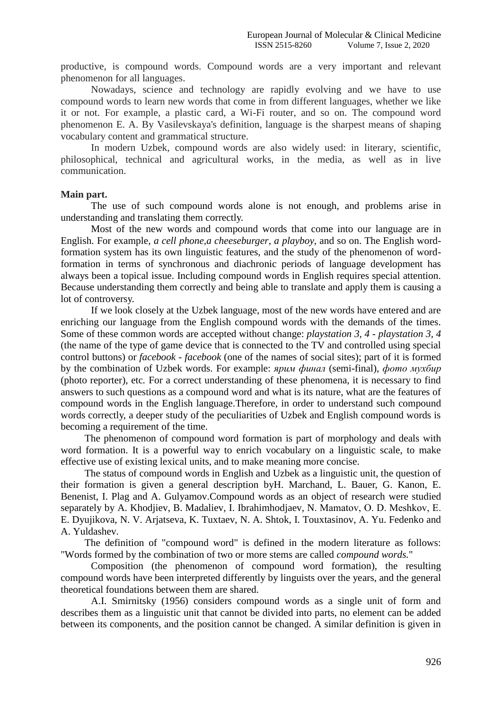productive, is compound words. Compound words are a very important and relevant phenomenon for all languages.

Nowadays, science and technology are rapidly evolving and we have to use compound words to learn new words that come in from different languages, whether we like it or not. For example, a plastic card, a Wi-Fi router, and so on. The compound word phenomenon E. A. By Vasilevskaya's definition, language is the sharpest means of shaping vocabulary content and grammatical structure.

In modern Uzbek, compound words are also widely used: in literary, scientific, philosophical, technical and agricultural works, in the media, as well as in live communication.

#### **Main part.**

The use of such compound words alone is not enough, and problems arise in understanding and translating them correctly.

Most of the new words and compound words that come into our language are in English. For example, *a cell phone,a cheeseburger*, *a playboy*, and so on. The English wordformation system has its own linguistic features, and the study of the phenomenon of wordformation in terms of synchronous and diachronic periods of language development has always been a topical issue. Including compound words in English requires special attention. Because understanding them correctly and being able to translate and apply them is causing a lot of controversy.

If we look closely at the Uzbek language, most of the new words have entered and are enriching our language from the English compound words with the demands of the times. Some of these common words are accepted without change: *playstation 3, 4 - playstation 3, 4* (the name of the type of game device that is connected to the TV and controlled using special control buttons) or *facebook - facebook* (one of the names of social sites); part of it is formed by the combination of Uzbek words. For example: *ярим финал* (semi-final), *фото мухбир* (photo reporter), etc*.* For a correct understanding of these phenomena, it is necessary to find answers to such questions as a compound word and what is its nature, what are the features of compound words in the English language.Therefore, in order to understand such compound words correctly, a deeper study of the peculiarities of Uzbek and English compound words is becoming a requirement of the time.

The phenomenon of compound word formation is part of morphology and deals with word formation. It is a powerful way to enrich vocabulary on a linguistic scale, to make effective use of existing lexical units, and to make meaning more concise.

The status of compound words in English and Uzbek as a linguistic unit, the question of their formation is given a general description byH. Marchand, L. Bauer, G. Kanon, E. Benenist, I. Plag and A. Gulyamov.Compound words as an object of research were studied separately by A. Khodjiev, B. Madaliev, I. Ibrahimhodjaev, N. Mamatov, О. D. Meshkov, E. E. Dyujikova, N. V. Arjatseva, K. Tuxtaev, N. A. Shtok, I. Touxtasinov, A. Yu. Fedenko and A. Yuldashev.

The definition of "compound word" is defined in the modern literature as follows: "Words formed by the combination of two or more stems are called *compound words.*"

Composition (the phenomenon of compound word formation), the resulting compound words have been interpreted differently by linguists over the years, and the general theoretical foundations between them are shared.

A.I. Smirnitsky (1956) considers compound words as a single unit of form and describes them as a linguistic unit that cannot be divided into parts, no element can be added between its components, and the position cannot be changed. A similar definition is given in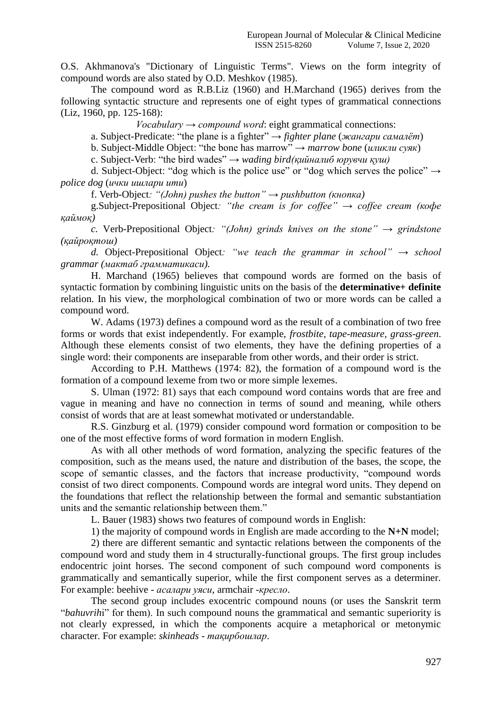O.S. Akhmanova's "Dictionary of Linguistic Terms". Views on the form integrity of compound words are also stated by O.D. Meshkov (1985).

The compound word as R.B.Liz (1960) and H.Marchand (1965) derives from the following syntactic structure and represents one of eight types of grammatical connections (Liz, 1960, pp. 125-168):

*Vocabulary*  $\rightarrow$  *compound word*: eight grammatical connections:

a. Subject-Predicate: "the plane is a fighter" → *fighter plane* (*жангари самалёт*)

b. Subject-Middle Object: "the bone has marrow" → *marrow bone* (*иликли суяк*)

c. Subject-Verb: "the bird wades" → *wading bird(қийналиб юрувчи қуш)*

d. Subject-Object: "dog which is the police use" or "dog which serves the police"  $\rightarrow$ *police dog* (*ички ишлари ити*)

f. Verb-Object*: "(John) pushes the button" → pushbutton (кнопка)*

g.Subject-Prepositional Object*: "the cream is for coffee" → coffee cream (кофе қаймоқ)*

*c.* Verb-Prepositional Object: "(*John*) grinds knives on the stone"  $\rightarrow$  grindstone *(қайроқтош)*

*d.* Object-Prepositional Object*: "we teach the grammar in school" → school grammar (мактаб грамматикаси).*

H. Marchand (1965) believes that compound words are formed on the basis of syntactic formation by combining linguistic units on the basis of the **determinative+ definite** relation. In his view, the morphological combination of two or more words can be called a compound word.

W. Adams (1973) defines a compound word as the result of a combination of two free forms or words that exist independently. For example, *frostbite, tape-measure, grass-green*. Although these elements consist of two elements, they have the defining properties of a single word: their components are inseparable from other words, and their order is strict.

According to P.H. Matthews (1974: 82), the formation of a compound word is the formation of a compound lexeme from two or more simple lexemes.

S. Ulman (1972: 81) says that each compound word contains words that are free and vague in meaning and have no connection in terms of sound and meaning, while others consist of words that are at least somewhat motivated or understandable.

R.S. Ginzburg et al. (1979) consider compound word formation or composition to be one of the most effective forms of word formation in modern English.

As with all other methods of word formation, analyzing the specific features of the composition, such as the means used, the nature and distribution of the bases, the scope, the scope of semantic classes, and the factors that increase productivity, "compound words consist of two direct components. Compound words are integral word units. They depend on the foundations that reflect the relationship between the formal and semantic substantiation units and the semantic relationship between them."

L. Bauer (1983) shows two features of compound words in English:

1) the majority of compound words in English are made according to the **N+N** model;

2) there are different semantic and syntactic relations between the components of the compound word and study them in 4 structurally-functional groups. The first group includes endocentric joint horses. The second component of such compound word components is grammatically and semantically superior, while the first component serves as a determiner. For example: beehive - *асалари уяси*, armchair -*кресло*.

The second group includes exocentric compound nouns (or uses the Sanskrit term "*bahuvrih*i" for them). In such compound nouns the grammatical and semantic superiority is not clearly expressed, in which the components acquire a metaphorical or metonymic character. For example: *skinheads - тақирбошлар*.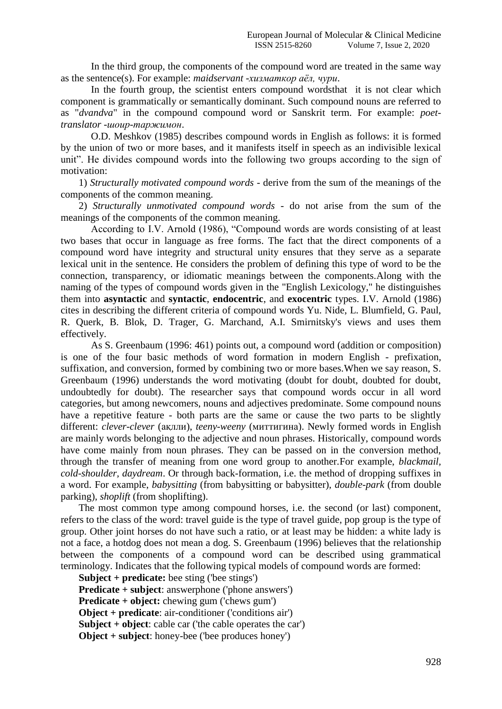In the third group, the components of the compound word are treated in the same way as the sentence(s). For example: *maidservant* -*хизматкор аёл, чури*.

In the fourth group, the scientist enters compound wordsthat it is not clear which component is grammatically or semantically dominant. Such compound nouns are referred to as "*dvandva*" in the compound compound word or Sanskrit term. For example: *poettranslator* -*шоир-таржимон*.

O.D. Meshkov (1985) describes compound words in English as follows: it is formed by the union of two or more bases, and it manifests itself in speech as an indivisible lexical unit". He divides compound words into the following two groups according to the sign of motivation:

1) *Structurally motivated compound words* - derive from the sum of the meanings of the components of the common meaning.

2) *Structurally unmotivated compound words* - do not arise from the sum of the meanings of the components of the common meaning.

According to I.V. Arnold (1986), "Compound words are words consisting of at least two bases that occur in language as free forms. The fact that the direct components of a compound word have integrity and structural unity ensures that they serve as a separate lexical unit in the sentence. He considers the problem of defining this type of word to be the connection, transparency, or idiomatic meanings between the components.Along with the naming of the types of compound words given in the "English Lexicology," he distinguishes them into **asyntactic** and **syntactic**, **endocentric**, and **exocentric** types. I.V. Arnold (1986) cites in describing the different criteria of compound words Yu. Nide, L. Blumfield, G. Paul, R. Querk, B. Blok, D. Trager, G. Marchand, A.I. Smirnitsky's views and uses them effectively.

As S. Greenbaum (1996: 461) points out, a compound word (addition or composition) is one of the four basic methods of word formation in modern English - prefixation, suffixation, and conversion, formed by combining two or more bases.When we say reason, S. Greenbaum (1996) understands the word motivating (doubt for doubt, doubted for doubt, undoubtedly for doubt). The researcher says that compound words occur in all word categories, but among newcomers, nouns and adjectives predominate. Some compound nouns have a repetitive feature - both parts are the same or cause the two parts to be slightly different: *clever-clever* (ақлли), *teeny-weeny* (миттигина). Newly formed words in English are mainly words belonging to the adjective and noun phrases. Historically, compound words have come mainly from noun phrases. They can be passed on in the conversion method, through the transfer of meaning from one word group to another.For example, *blackmail, cold-shoulder, daydream*. Or through back-formation, i.e. the method of dropping suffixes in a word. For example, *babysitting* (from babysitting or babysitter), *double-park* (from double parking), *shoplift* (from shoplifting).

The most common type among compound horses, i.e. the second (or last) component, refers to the class of the word: travel guide is the type of travel guide, pop group is the type of group. Other joint horses do not have such a ratio, or at least may be hidden: a white lady is not a face, a hotdog does not mean a dog. S. Greenbaum (1996) believes that the relationship between the components of a compound word can be described using grammatical terminology. Indicates that the following typical models of compound words are formed:

**Subject + predicate:** bee sting ('bee stings') **Predicate** + subject: answerphone ('phone answers') **Predicate + object:** chewing gum ('chews gum') **Object + predicate**: air-conditioner ('conditions air') **Subject + object**: cable car ('the cable operates the car') **Object + subject**: honey-bee ('bee produces honey')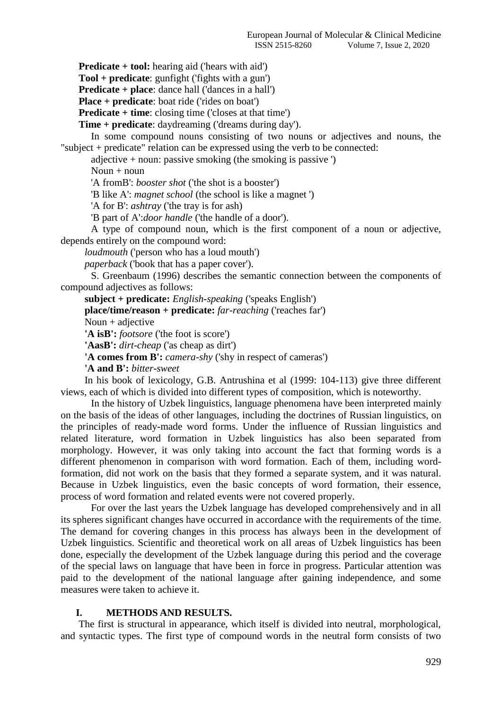**Predicate + tool:** hearing aid ('hears with aid')

**Tool + predicate**: gunfight ('fights with a gun')

**Predicate + place**: dance hall ('dances in a hall')

**Place + predicate**: boat ride ('rides on boat')

**Predicate** + **time**: closing time ('closes at that time')

**Time + predicate**: daydreaming ('dreams during day').

In some compound nouns consisting of two nouns or adjectives and nouns, the "subject + predicate" relation can be expressed using the verb to be connected:

adjective + noun: passive smoking (the smoking is passive ')

Noun  $+$  noun

'A fromB': *booster shot* ('the shot is a booster')

'B like A': *magnet school* (the school is like a magnet ')

'A for B': *ashtray* ('the tray is for ash)

'B part of A':*door handle* ('the handle of a door').

A type of compound noun, which is the first component of a noun or adjective, depends entirely on the compound word:

*loudmouth* ('person who has a loud mouth')

*paperback* ('book that has a paper cover').

S. Greenbaum (1996) describes the semantic connection between the components of compound adjectives as follows:

**subject + predicate:** *English-speaking* ('speaks English')

**place/time/reason + predicate:** *far-reaching* ('reaches far')

Noun  $+$  adjective

**'A isB':** *footsore* ('the foot is score')

**'AasB':** *dirt-cheap* ('as cheap as dirt')

**'A comes from B':** *camera-shy* ('shy in respect of cameras')

**'A and B':** *bitter-sweet*

In his book of lexicology, G.B. Antrushina et al (1999: 104-113) give three different views, each of which is divided into different types of composition, which is noteworthy.

In the history of Uzbek linguistics, language phenomena have been interpreted mainly on the basis of the ideas of other languages, including the doctrines of Russian linguistics, on the principles of ready-made word forms. Under the influence of Russian linguistics and related literature, word formation in Uzbek linguistics has also been separated from morphology. However, it was only taking into account the fact that forming words is a different phenomenon in comparison with word formation. Each of them, including wordformation, did not work on the basis that they formed a separate system, and it was natural. Because in Uzbek linguistics, even the basic concepts of word formation, their essence, process of word formation and related events were not covered properly.

For over the last years the Uzbek language has developed comprehensively and in all its spheres significant changes have occurred in accordance with the requirements of the time. The demand for covering changes in this process has always been in the development of Uzbek linguistics. Scientific and theoretical work on all areas of Uzbek linguistics has been done, especially the development of the Uzbek language during this period and the coverage of the special laws on language that have been in force in progress. Particular attention was paid to the development of the national language after gaining independence, and some measures were taken to achieve it.

## **I. METHODS AND RESULTS.**

The first is structural in appearance, which itself is divided into neutral, morphological, and syntactic types. The first type of compound words in the neutral form consists of two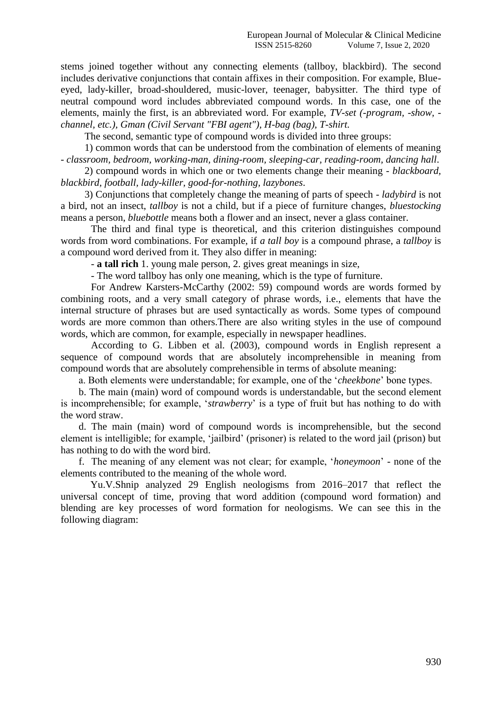stems joined together without any connecting elements (tallboy, blackbird). The second includes derivative conjunctions that contain affixes in their composition. For example, Blueeyed, lady-killer, broad-shouldered, music-lover, teenager, babysitter. The third type of neutral compound word includes abbreviated compound words. In this case, one of the elements, mainly the first, is an abbreviated word. For example, *TV-set (-program, -show, channel, etc.), Gman (Civil Servant "FBI agent"), H-bag (bag), T-shirt.*

The second, semantic type of compound words is divided into three groups:

1) common words that can be understood from the combination of elements of meaning - *classroom, bedroom, working-man, dining-room, sleeping-car, reading-room, dancing hall*.

2) compound words in which one or two elements change their meaning - *blackboard, blackbird, football, lady-killer, good-for-nothing, lazybones*.

3) Conjunctions that completely change the meaning of parts of speech - *ladybird* is not a bird, not an insect, *tallboy* is not a child, but if a piece of furniture changes, *bluestocking* means a person, *bluebottle* means both a flower and an insect, never a glass container.

The third and final type is theoretical, and this criterion distinguishes compound words from word combinations. For example, if *a tall boy* is a compound phrase, a *tallboy* is a compound word derived from it. They also differ in meaning:

- **a tall rich** 1. young male person, 2. gives great meanings in size,

- The word tallboy has only one meaning, which is the type of furniture.

For Andrew Karsters-McCarthy (2002: 59) compound words are words formed by combining roots, and a very small category of phrase words, i.e., elements that have the internal structure of phrases but are used syntactically as words. Some types of compound words are more common than others.There are also writing styles in the use of compound words, which are common, for example, especially in newspaper headlines.

According to G. Libben et al. (2003), compound words in English represent a sequence of compound words that are absolutely incomprehensible in meaning from compound words that are absolutely comprehensible in terms of absolute meaning:

a. Both elements were understandable; for example, one of the '*cheekbone*' bone types.

b. The main (main) word of compound words is understandable, but the second element is incomprehensible; for example, '*strawberry*' is a type of fruit but has nothing to do with the word straw.

d. The main (main) word of compound words is incomprehensible, but the second element is intelligible; for example, 'jailbird' (prisoner) is related to the word jail (prison) but has nothing to do with the word bird.

f. The meaning of any element was not clear; for example, '*honeymoon*' - none of the elements contributed to the meaning of the whole word.

Yu.V.Shnip analyzed 29 English neologisms from 2016–2017 that reflect the universal concept of time, proving that word addition (compound word formation) and blending are key processes of word formation for neologisms. We can see this in the following diagram: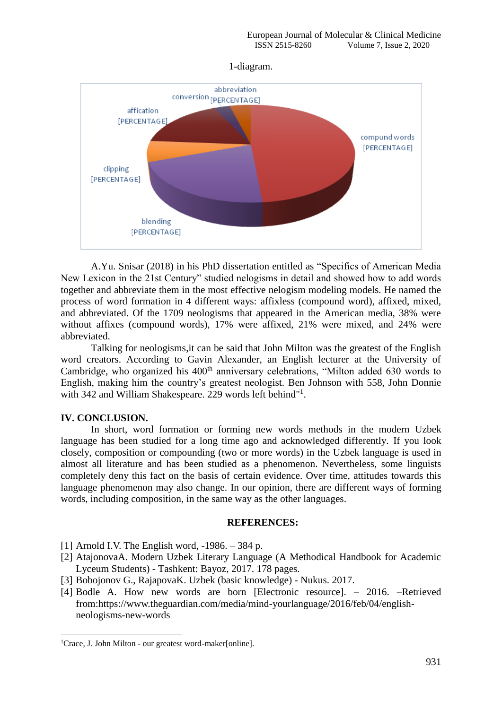## 1-diagram.



A.Yu. Snisar (2018) in his PhD dissertation entitled as "Specifics of American Media New Lexicon in the 21st Century" studied nelogisms in detail and showed how to add words together and abbreviate them in the most effective nelogism modeling models. He named the process of word formation in 4 different ways: affixless (compound word), affixed, mixed, and abbreviated. Of the 1709 neologisms that appeared in the American media, 38% were without affixes (compound words), 17% were affixed, 21% were mixed, and 24% were abbreviated.

Talking for neologisms,it can be said that John Milton was the greatest of the English word creators. According to Gavin Alexander, an English lecturer at the University of Cambridge, who organized his 400<sup>th</sup> anniversary celebrations, "Milton added 630 words to English, making him the country's greatest neologist. Ben Johnson with 558, John Donnie with 342 and William Shakespeare. 229 words left behind"<sup>1</sup>.

## **IV. CONCLUSION.**

**.** 

In short, word formation or forming new words methods in the modern Uzbek language has been studied for a long time ago and acknowledged differently. If you look closely, composition or compounding (two or more words) in the Uzbek language is used in almost all literature and has been studied as a phenomenon. Nevertheless, some linguists completely deny this fact on the basis of certain evidence. Over time, attitudes towards this language phenomenon may also change. In our opinion, there are different ways of forming words, including composition, in the same way as the other languages.

## **REFERENCES:**

- [1] Arnold I.V. The English word,  $-1986. 384$  p.
- [2] AtajonovaA. Modern Uzbek Literary Language (A Methodical Handbook for Academic Lyceum Students) - Tashkent: Bayoz, 2017. 178 pages.
- [3] Bobojonov G., RajapovaK. Uzbek (basic knowledge) Nukus. 2017.
- [4] Bodle A. How new words are born [Electronic resource]. 2016. –Retrieved from:https://www.theguardian.com/media/mind-yourlanguage/2016/feb/04/englishneologisms-new-words

<sup>&</sup>lt;sup>1</sup>Crace, J. John Milton - our greatest word-maker[online].